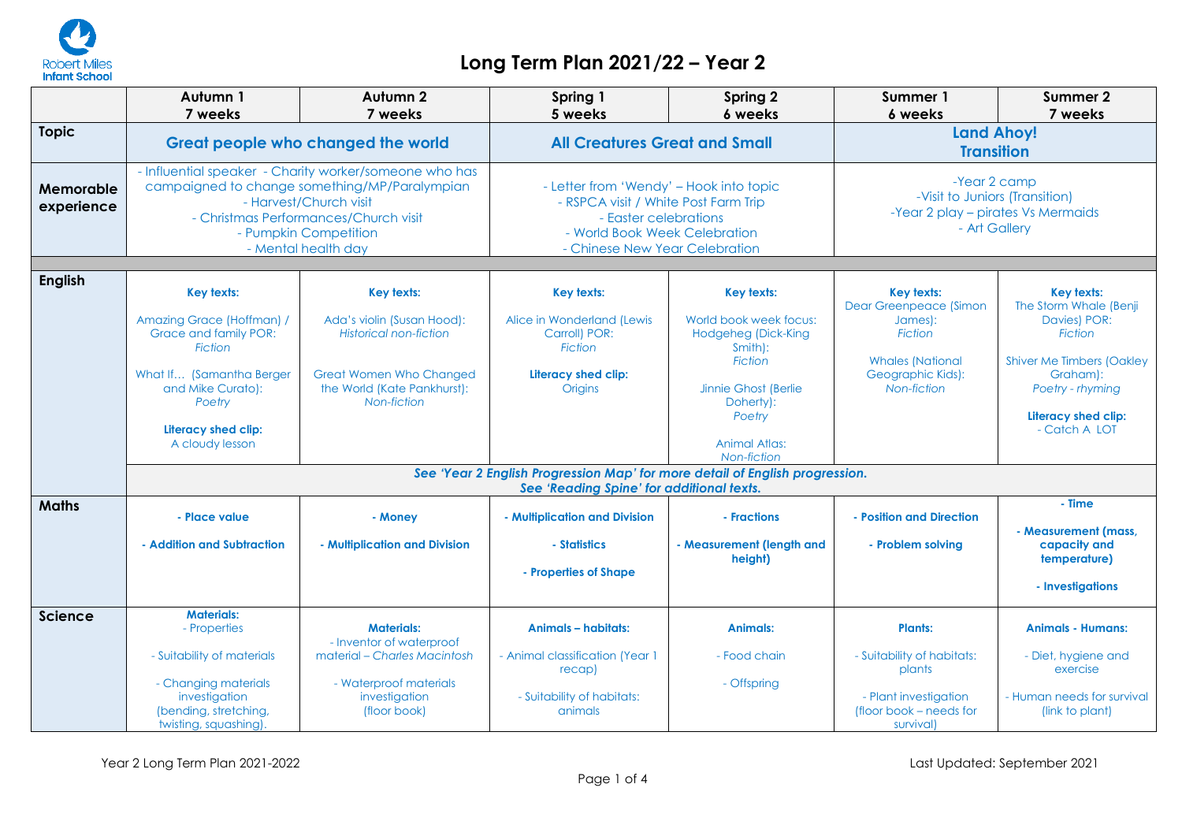

## **Long Term Plan 2021/22 – Year 2**

|                         | Autumn 1                                                                                                                                                                                                                   | Autumn <sub>2</sub>                                                          | Spring 1                                                                                                                                                                    | <b>Spring 2</b>                                                 | Summer 1                                                                                              | Summer 2                                                                                |
|-------------------------|----------------------------------------------------------------------------------------------------------------------------------------------------------------------------------------------------------------------------|------------------------------------------------------------------------------|-----------------------------------------------------------------------------------------------------------------------------------------------------------------------------|-----------------------------------------------------------------|-------------------------------------------------------------------------------------------------------|-----------------------------------------------------------------------------------------|
| <b>Topic</b>            | 7 weeks<br>7 weeks<br>Great people who changed the world                                                                                                                                                                   |                                                                              | 6 weeks<br>5 weeks<br><b>All Creatures Great and Small</b>                                                                                                                  |                                                                 | 7 weeks<br>6 weeks<br><b>Land Ahoy!</b><br><b>Transition</b>                                          |                                                                                         |
| Memorable<br>experience | - Influential speaker - Charity worker/someone who has<br>campaigned to change something/MP/Paralympian<br>- Harvest/Church visit<br>- Christmas Performances/Church visit<br>- Pumpkin Competition<br>- Mental health day |                                                                              | - Letter from 'Wendy' - Hook into topic<br>- RSPCA visit / White Post Farm Trip<br>- Easter celebrations<br>- World Book Week Celebration<br>- Chinese New Year Celebration |                                                                 | -Year 2 camp<br>-Visit to Juniors (Transition)<br>-Year 2 play - pirates Vs Mermaids<br>- Art Gallery |                                                                                         |
| <b>English</b>          | Key texts:                                                                                                                                                                                                                 | Key texts:                                                                   | Key texts:                                                                                                                                                                  | <b>Key texts:</b>                                               | Key texts:<br><b>Dear Greenpeace (Simon</b>                                                           | <b>Key texts:</b><br>The Storm Whale (Benji                                             |
|                         | Amazing Grace (Hoffman) /<br>Grace and family POR:<br><b>Fiction</b>                                                                                                                                                       | Ada's violin (Susan Hood):<br><b>Historical non-fiction</b>                  | Alice in Wonderland (Lewis<br>Carroll) POR:<br><b>Fiction</b>                                                                                                               | World book week focus:<br><b>Hodgeheg (Dick-King</b><br>Smith): | James):<br><b>Fiction</b>                                                                             | Davies) POR:<br><b>Fiction</b>                                                          |
|                         | What If (Samantha Berger<br>and Mike Curato):<br>Poetry                                                                                                                                                                    | <b>Great Women Who Changed</b><br>the World (Kate Pankhurst):<br>Non-fiction | Literacy shed clip:<br><b>Origins</b>                                                                                                                                       | <b>Fiction</b><br>Jinnie Ghost (Berlie<br>Doherty):<br>Poetry   | <b>Whales (National</b><br>Geographic Kids):<br>Non-fiction                                           | <b>Shiver Me Timbers (Oakley</b><br>Graham):<br>Poetry - rhyming<br>Literacy shed clip: |
|                         | Literacy shed clip:<br>A cloudy lesson                                                                                                                                                                                     |                                                                              |                                                                                                                                                                             | Animal Atlas:<br>Non-fiction                                    |                                                                                                       | - Catch A LOT                                                                           |
|                         | See 'Year 2 English Progression Map' for more detail of English progression.<br>See 'Reading Spine' for additional texts.                                                                                                  |                                                                              |                                                                                                                                                                             |                                                                 |                                                                                                       |                                                                                         |
| <b>Maths</b>            | - Place value                                                                                                                                                                                                              | - Money                                                                      | - Multiplication and Division                                                                                                                                               | - Fractions                                                     | - Position and Direction                                                                              | - Time<br>- Measurement (mass,                                                          |
|                         | - Addition and Subtraction                                                                                                                                                                                                 | - Multiplication and Division                                                | - Statistics                                                                                                                                                                | - Measurement (length and<br>height)                            | - Problem solvina                                                                                     | capacity and<br>temperature)                                                            |
|                         |                                                                                                                                                                                                                            |                                                                              | - Properties of Shape                                                                                                                                                       |                                                                 |                                                                                                       | - Investigations                                                                        |
| Science                 | <b>Materials:</b><br>- Properties                                                                                                                                                                                          | <b>Materials:</b><br>- Inventor of waterproof                                | <b>Animals - habitats:</b>                                                                                                                                                  | <b>Animals:</b>                                                 | <b>Plants:</b>                                                                                        | <b>Animals - Humans:</b>                                                                |
|                         | - Suitability of materials                                                                                                                                                                                                 | material – Charles Macintosh                                                 | - Animal classification (Year 1<br>recap)                                                                                                                                   | - Food chain                                                    | - Suitability of habitats:<br>plants                                                                  | - Diet, hygiene and<br>exercise                                                         |
|                         | - Changing materials<br>investigation<br>(bending, stretching,<br>twisting, squashing)                                                                                                                                     | - Waterproof materials<br>investigation<br>(floor book)                      | - Suitability of habitats:<br>animals                                                                                                                                       | - Offspring                                                     | - Plant investigation<br>(floor book – needs for<br>survival)                                         | - Human needs for survival<br>(link to plant)                                           |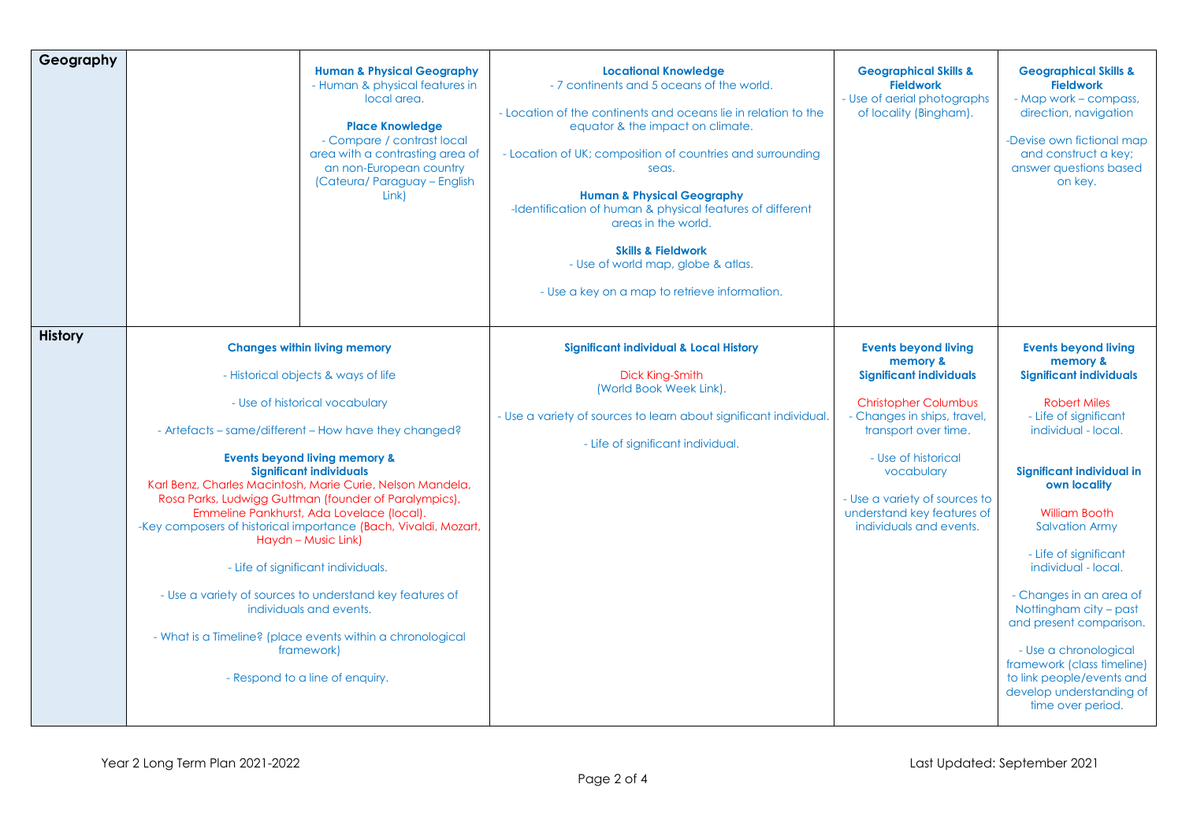| Geography      |                                                                                                                                                                                                                                                                                                                                                                                                                                                                                                                                                                                                                                                                                                                                                               | <b>Human &amp; Physical Geography</b><br>- Human & physical features in<br>local area.<br><b>Place Knowledge</b><br>- Compare / contrast local<br>area with a contrasting area of<br>an non-European country<br>(Cateura/ Paraguay - English<br>Link) | <b>Locational Knowledge</b><br>- 7 continents and 5 oceans of the world.<br>- Location of the continents and oceans lie in relation to the<br>equator & the impact on climate.<br>- Location of UK; composition of countries and surrounding<br>seas.<br><b>Human &amp; Physical Geography</b><br>-Identification of human & physical features of different<br>areas in the world.<br><b>Skills &amp; Fieldwork</b><br>- Use of world map, globe & atlas.<br>- Use a key on a map to retrieve information. | <b>Geographical Skills &amp;</b><br><b>Fieldwork</b><br>- Use of aerial photographs<br>of locality (Bingham).                                                                                                                                                                                  | <b>Geographical Skills &amp;</b><br><b>Fieldwork</b><br>- Map work - compass,<br>direction, navigation<br>-Devise own fictional map<br>and construct a key;<br>answer questions based<br>on key.                                                                                                                                                                                                                                                                                                                    |
|----------------|---------------------------------------------------------------------------------------------------------------------------------------------------------------------------------------------------------------------------------------------------------------------------------------------------------------------------------------------------------------------------------------------------------------------------------------------------------------------------------------------------------------------------------------------------------------------------------------------------------------------------------------------------------------------------------------------------------------------------------------------------------------|-------------------------------------------------------------------------------------------------------------------------------------------------------------------------------------------------------------------------------------------------------|------------------------------------------------------------------------------------------------------------------------------------------------------------------------------------------------------------------------------------------------------------------------------------------------------------------------------------------------------------------------------------------------------------------------------------------------------------------------------------------------------------|------------------------------------------------------------------------------------------------------------------------------------------------------------------------------------------------------------------------------------------------------------------------------------------------|---------------------------------------------------------------------------------------------------------------------------------------------------------------------------------------------------------------------------------------------------------------------------------------------------------------------------------------------------------------------------------------------------------------------------------------------------------------------------------------------------------------------|
| <b>History</b> | <b>Changes within living memory</b><br>- Historical objects & ways of life<br>- Use of historical vocabulary<br>- Artefacts - same/different - How have they changed?<br><b>Events beyond living memory &amp;</b><br><b>Significant individuals</b><br>Karl Benz, Charles Macintosh, Marie Curie, Nelson Mandela,<br>Rosa Parks, Ludwigg Guttman (founder of Paralympics),<br>Emmeline Pankhurst, Ada Lovelace (local).<br>-Key composers of historical importance (Bach, Vivaldi, Mozart,<br>Haydn - Music Link)<br>- Life of significant individuals.<br>- Use a variety of sources to understand key features of<br>individuals and events.<br>- What is a Timeline? (place events within a chronological<br>framework)<br>- Respond to a line of enquiry. |                                                                                                                                                                                                                                                       | <b>Significant individual &amp; Local History</b><br>Dick King-Smith<br>(World Book Week Link).<br>- Use a variety of sources to learn about significant individual<br>- Life of significant individual.                                                                                                                                                                                                                                                                                                   | <b>Events beyond living</b><br>memory &<br><b>Significant individuals</b><br><b>Christopher Columbus</b><br>- Changes in ships, travel,<br>transport over time.<br>- Use of historical<br>vocabulary<br>- Use a variety of sources to<br>understand key features of<br>individuals and events. | <b>Events beyond living</b><br>memory &<br><b>Significant individuals</b><br><b>Robert Miles</b><br>- Life of significant<br>individual - local.<br>Significant individual in<br>own locality<br><b>William Booth</b><br><b>Salvation Army</b><br>- Life of significant<br>individual - local.<br>- Changes in an area of<br>Nottingham city - past<br>and present comparison.<br>- Use a chronological<br>framework (class timeline)<br>to link people/events and<br>develop understanding of<br>time over period. |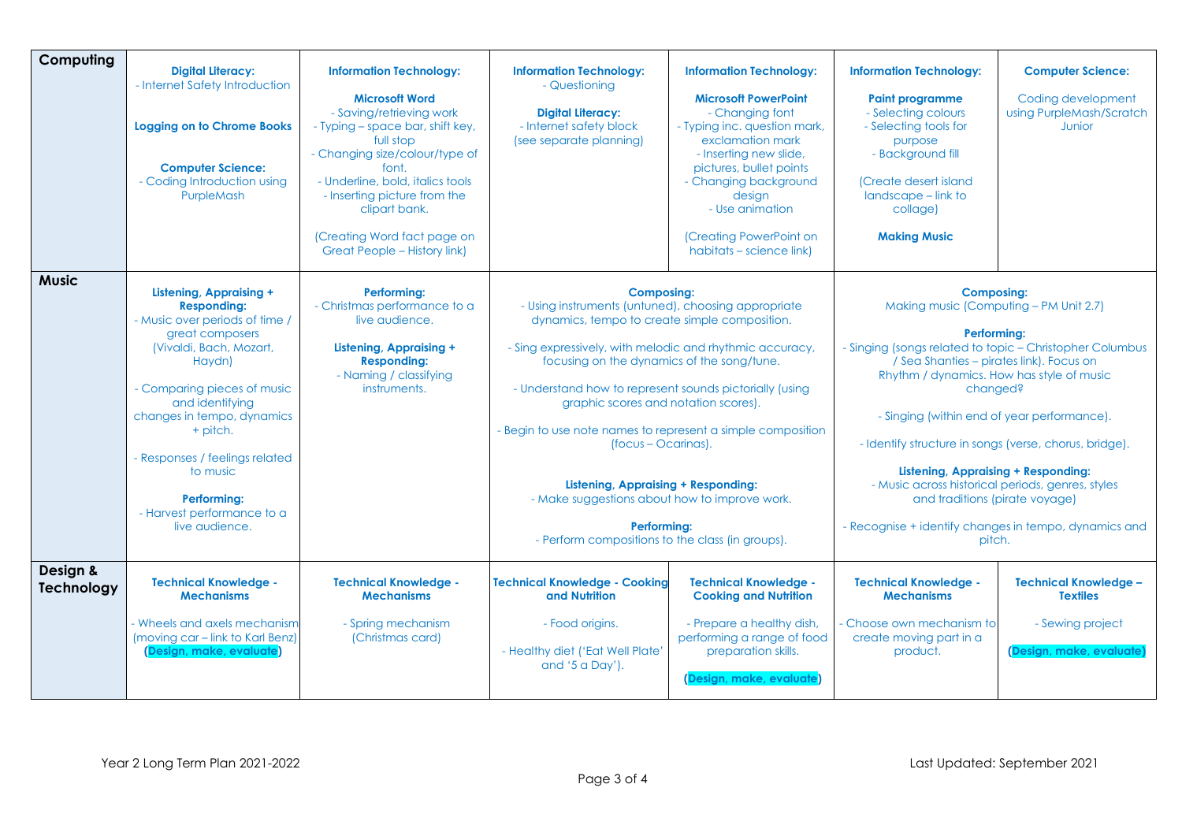| Computing              | <b>Digital Literacy:</b><br>- Internet Safety Introduction<br><b>Logging on to Chrome Books</b><br><b>Computer Science:</b><br>- Coding Introduction using<br>PurpleMash                                                                                                                                                                                | <b>Information Technology:</b><br><b>Microsoft Word</b><br>- Saving/retrieving work<br>- Typing - space bar, shift key,<br>full stop<br>- Changing size/colour/type of<br>font.<br>- Underline, bold, italics tools<br>- Inserting picture from the<br>clipart bank.<br>(Creating Word fact page on<br><b>Great People - History link)</b> | <b>Information Technology:</b><br>- Questioning<br><b>Digital Literacy:</b><br>- Internet safety block<br>(see separate planning)                                                                                                                                                                                                                                                                                                                                                                                                                                                              | <b>Information Technology:</b><br><b>Microsoft PowerPoint</b><br>- Changing font<br>- Typing inc. question mark,<br>exclamation mark<br>- Inserting new slide,<br>pictures, bullet points<br>- Changing background<br>desian<br>- Use animation<br>(Creating PowerPoint on<br>habitats – science link) | <b>Information Technology:</b><br><b>Paint programme</b><br>- Selecting colours<br>- Selecting tools for<br>purpose<br>- Background fill<br>(Create desert island<br>landscape - link to<br>collage)<br><b>Making Music</b>                                                                                                                                                                                                                                                                                                                                  | <b>Computer Science:</b><br>Coding development<br>using PurpleMash/Scratch<br>Junior            |
|------------------------|---------------------------------------------------------------------------------------------------------------------------------------------------------------------------------------------------------------------------------------------------------------------------------------------------------------------------------------------------------|--------------------------------------------------------------------------------------------------------------------------------------------------------------------------------------------------------------------------------------------------------------------------------------------------------------------------------------------|------------------------------------------------------------------------------------------------------------------------------------------------------------------------------------------------------------------------------------------------------------------------------------------------------------------------------------------------------------------------------------------------------------------------------------------------------------------------------------------------------------------------------------------------------------------------------------------------|--------------------------------------------------------------------------------------------------------------------------------------------------------------------------------------------------------------------------------------------------------------------------------------------------------|--------------------------------------------------------------------------------------------------------------------------------------------------------------------------------------------------------------------------------------------------------------------------------------------------------------------------------------------------------------------------------------------------------------------------------------------------------------------------------------------------------------------------------------------------------------|-------------------------------------------------------------------------------------------------|
| <b>Music</b>           | <b>Listening, Appraising +</b><br><b>Responding:</b><br>- Music over periods of time /<br>great composers<br>(Vivaldi, Bach, Mozart,<br>Haydn)<br>- Comparing pieces of music<br>and identifying<br>changes in tempo, dynamics<br>+ pitch.<br>- Responses / feelings related<br>to music<br>Performing:<br>- Harvest performance to a<br>live audience. | <b>Performing:</b><br>- Christmas performance to a<br>live audience.<br><b>Listening, Appraising +</b><br><b>Responding:</b><br>- Naming / classifying<br>instruments.                                                                                                                                                                     | <b>Composing:</b><br>- Using instruments (untuned), choosing appropriate<br>dynamics, tempo to create simple composition.<br>- Sing expressively, with melodic and rhythmic accuracy,<br>focusing on the dynamics of the song/tune.<br>- Understand how to represent sounds pictorially (using<br>graphic scores and notation scores).<br>- Begin to use note names to represent a simple composition<br>(focus - Ocarinas).<br><b>Listening, Appraising + Responding:</b><br>- Make suggestions about how to improve work.<br>Performina:<br>- Perform compositions to the class (in groups). |                                                                                                                                                                                                                                                                                                        | <b>Composing:</b><br>Making music (Computing - PM Unit 2.7)<br>Performing:<br>- Singing (songs related to topic - Christopher Columbus<br>/ Sea Shanties - pirates link). Focus on<br>Rhythm / dynamics. How has style of music<br>changed?<br>- Singing (within end of year performance).<br>- Identify structure in songs (verse, chorus, bridge).<br><b>Listening, Appraising + Responding:</b><br>- Music across historical periods, genres, styles<br>and traditions (pirate voyage)<br>- Recognise + identify changes in tempo, dynamics and<br>pitch. |                                                                                                 |
| Design &<br>Technology | <b>Technical Knowledge -</b><br><b>Mechanisms</b><br>- Wheels and axels mechanism<br>(moving car – link to Karl Benz)<br>(Design, make, evaluate)                                                                                                                                                                                                       | <b>Technical Knowledge -</b><br><b>Mechanisms</b><br>- Spring mechanism<br>(Christmas card)                                                                                                                                                                                                                                                | <b>Technical Knowledge - Cooking</b><br>and Nutrition<br>- Food origins.<br>- Healthy diet ('Eat Well Plate'<br>and '5 a Day').                                                                                                                                                                                                                                                                                                                                                                                                                                                                | <b>Technical Knowledge -</b><br><b>Cooking and Nutrition</b><br>- Prepare a healthy dish,<br>performing a range of food<br>preparation skills.<br>(Design, make, evaluate                                                                                                                              | <b>Technical Knowledge -</b><br><b>Mechanisms</b><br>Choose own mechanism to<br>create moving part in a<br>product.                                                                                                                                                                                                                                                                                                                                                                                                                                          | <b>Technical Knowledge -</b><br><b>Textiles</b><br>- Sewing project<br>(Design, make, evaluate) |